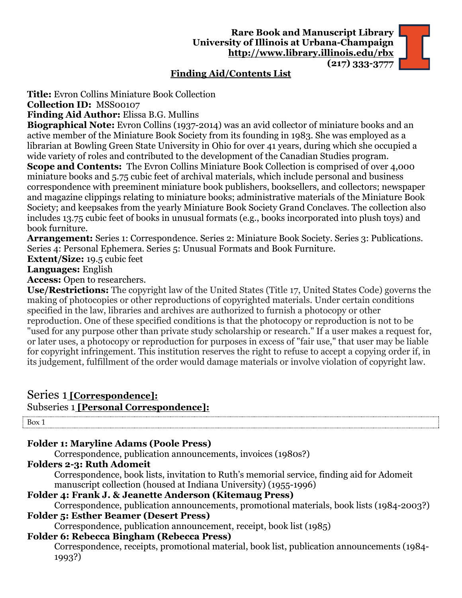## **Finding Aid/Contents List**

**Title:** Evron Collins Miniature Book Collection

**Collection ID:** MSS00107

**Finding Aid Author:** Elissa B.G. Mullins

**Biographical Note:** Evron Collins (1937-2014) was an avid collector of miniature books and an active member of the Miniature Book Society from its founding in 1983. She was employed as a librarian at Bowling Green State University in Ohio for over 41 years, during which she occupied a wide variety of roles and contributed to the development of the Canadian Studies program.

**Scope and Contents:** The Evron Collins Miniature Book Collection is comprised of over 4,000 miniature books and 5.75 cubic feet of archival materials, which include personal and business correspondence with preeminent miniature book publishers, booksellers, and collectors; newspaper and magazine clippings relating to miniature books; administrative materials of the Miniature Book Society; and keepsakes from the yearly Miniature Book Society Grand Conclaves. The collection also includes 13.75 cubic feet of books in unusual formats (e.g., books incorporated into plush toys) and book furniture.

**Arrangement:** Series 1: Correspondence. Series 2: Miniature Book Society. Series 3: Publications. Series 4: Personal Ephemera. Series 5: Unusual Formats and Book Furniture.

**Extent/Size:** 19.5 cubic feet

## **Languages:** English

**Access:** Open to researchers.

**Use/Restrictions:** The copyright law of the United States (Title 17, United States Code) governs the making of photocopies or other reproductions of copyrighted materials. Under certain conditions specified in the law, libraries and archives are authorized to furnish a photocopy or other reproduction. One of these specified conditions is that the photocopy or reproduction is not to be "used for any purpose other than private study scholarship or research." If a user makes a request for, or later uses, a photocopy or reproduction for purposes in excess of "fair use," that user may be liable for copyright infringement. This institution reserves the right to refuse to accept a copying order if, in its judgement, fulfillment of the order would damage materials or involve violation of copyright law.

## Series 1 **[Correspondence]:**

## Subseries 1 **[Personal Correspondence]:**

Box 1

# **Folder 1: Maryline Adams (Poole Press)**

Correspondence, publication announcements, invoices (1980s?)

# **Folders 2-3: Ruth Adomeit**

Correspondence, book lists, invitation to Ruth's memorial service, finding aid for Adomeit manuscript collection (housed at Indiana University) (1955-1996)

## **Folder 4: Frank J. & Jeanette Anderson (Kitemaug Press)**

Correspondence, publication announcements, promotional materials, book lists (1984-2003?) **Folder 5: Esther Beamer (Desert Press)**

Correspondence, publication announcement, receipt, book list (1985)

# **Folder 6: Rebecca Bingham (Rebecca Press)**

Correspondence, receipts, promotional material, book list, publication announcements (1984- 1993?)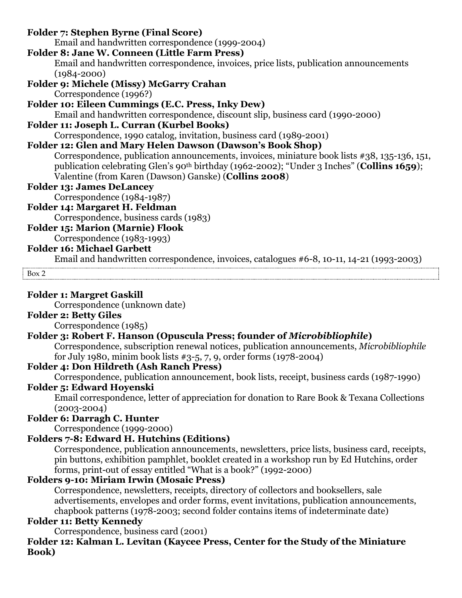#### **Folder 7: Stephen Byrne (Final Score)** Email and handwritten correspondence (1999-2004) **Folder 8: Jane W. Conneen (Little Farm Press)** Email and handwritten correspondence, invoices, price lists, publication announcements (1984-2000) **Folder 9: Michele (Missy) McGarry Crahan** Correspondence (1996?) **Folder 10: Eileen Cummings (E.C. Press, Inky Dew)** Email and handwritten correspondence, discount slip, business card (1990-2000) **Folder 11: Joseph L. Curran (Kurbel Books)** Correspondence, 1990 catalog, invitation, business card (1989-2001) **Folder 12: Glen and Mary Helen Dawson (Dawson's Book Shop)** Correspondence, publication announcements, invoices, miniature book lists #38, 135-136, 151, publication celebrating Glen's 90th birthday (1962-2002); "Under 3 Inches" (**Collins 1659**); Valentine (from Karen (Dawson) Ganske) (**Collins 2008**) **Folder 13: James DeLancey** Correspondence (1984-1987) **Folder 14: Margaret H. Feldman** Correspondence, business cards (1983)

#### **Folder 15: Marion (Marnie) Flook**

Correspondence (1983-1993)

#### **Folder 16: Michael Garbett**

Email and handwritten correspondence, invoices, catalogues #6-8, 10-11, 14-21 (1993-2003)

Box 2

#### **Folder 1: Margret Gaskill**

Correspondence (unknown date)

#### **Folder 2: Betty Giles**

Correspondence (1985)

#### **Folder 3: Robert F. Hanson (Opuscula Press; founder of** *Microbibliophile***)**

Correspondence, subscription renewal notices, publication announcements, *Microbibliophile* for July 1980, minim book lists #3-5, 7, 9, order forms (1978-2004)

#### **Folder 4: Don Hildreth (Ash Ranch Press)**

Correspondence, publication announcement, book lists, receipt, business cards (1987-1990)

#### **Folder 5: Edward Hoyenski**

Email correspondence, letter of appreciation for donation to Rare Book & Texana Collections (2003-2004)

## **Folder 6: Darragh C. Hunter**

Correspondence (1999-2000)

## **Folders 7-8: Edward H. Hutchins (Editions)**

Correspondence, publication announcements, newsletters, price lists, business card, receipts, pin buttons, exhibition pamphlet, booklet created in a workshop run by Ed Hutchins, order forms, print-out of essay entitled "What is a book?" (1992-2000)

#### **Folders 9-10: Miriam Irwin (Mosaic Press)**

Correspondence, newsletters, receipts, directory of collectors and booksellers, sale advertisements, envelopes and order forms, event invitations, publication announcements, chapbook patterns (1978-2003; second folder contains items of indeterminate date)

## **Folder 11: Betty Kennedy**

Correspondence, business card (2001)

**Folder 12: Kalman L. Levitan (Kaycee Press, Center for the Study of the Miniature Book)**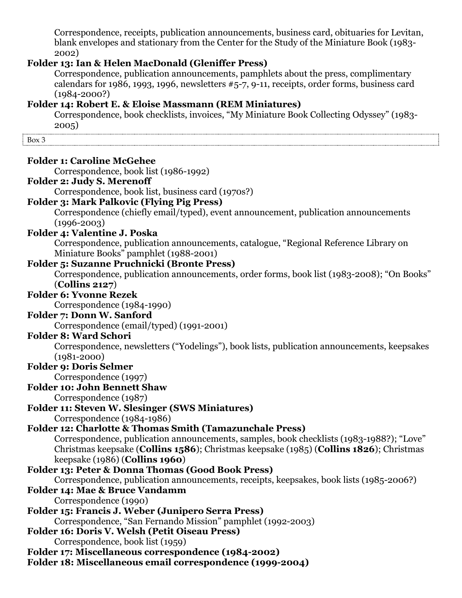Correspondence, receipts, publication announcements, business card, obituaries for Levitan, blank envelopes and stationary from the Center for the Study of the Miniature Book (1983- 2002)

#### **Folder 13: Ian & Helen MacDonald (Gleniffer Press)**

Correspondence, publication announcements, pamphlets about the press, complimentary calendars for 1986, 1993, 1996, newsletters #5-7, 9-11, receipts, order forms, business card (1984-2000?)

## **Folder 14: Robert E. & Eloise Massmann (REM Miniatures)**

Correspondence, book checklists, invoices, "My Miniature Book Collecting Odyssey" (1983- 2005)

Box 3

| <b>Folder 1: Caroline McGehee</b> |
|-----------------------------------|
| Correspondence, book list         |

#### **Folder 2: Judy S. Merenoff**

Correspondence, book list, business card (1970s?)

 $(1986-1992)$ 

#### **Folder 3: Mark Palkovic (Flying Pig Press)**

Correspondence (chiefly email/typed), event announcement, publication announcements  $(1996 - 2003)$ 

#### **Folder 4: Valentine J. Poska**

Correspondence, publication announcements, catalogue, "Regional Reference Library on Miniature Books" pamphlet (1988-2001)

#### **Folder 5: Suzanne Pruchnicki (Bronte Press)**

Correspondence, publication announcements, order forms, book list (1983-2008); "On Books" (**Collins 2127**)

#### **Folder 6: Yvonne Rezek**

Correspondence (1984-1990)

#### **Folder 7: Donn W. Sanford**

Correspondence (email/typed) (1991-2001)

#### **Folder 8: Ward Schori**

Correspondence, newsletters ("Yodelings"), book lists, publication announcements, keepsakes (1981-2000)

## **Folder 9: Doris Selmer**

Correspondence (1997)

#### **Folder 10: John Bennett Shaw**

Correspondence (1987)

## **Folder 11: Steven W. Slesinger (SWS Miniatures)**

Correspondence (1984-1986)

## **Folder 12: Charlotte & Thomas Smith (Tamazunchale Press)**

Correspondence, publication announcements, samples, book checklists (1983-1988?); "Love" Christmas keepsake (**Collins 1586**); Christmas keepsake (1985) (**Collins 1826**); Christmas keepsake (1986) (**Collins 1960**)

## **Folder 13: Peter & Donna Thomas (Good Book Press)**

Correspondence, publication announcements, receipts, keepsakes, book lists (1985-2006?)

## **Folder 14: Mae & Bruce Vandamm**

Correspondence (1990)

**Folder 15: Francis J. Weber (Junipero Serra Press)**

Correspondence, "San Fernando Mission" pamphlet (1992-2003)

## **Folder 16: Doris V. Welsh (Petit Oiseau Press)**

Correspondence, book list (1959)

**Folder 17: Miscellaneous correspondence (1984-2002)**

**Folder 18: Miscellaneous email correspondence (1999-2004)**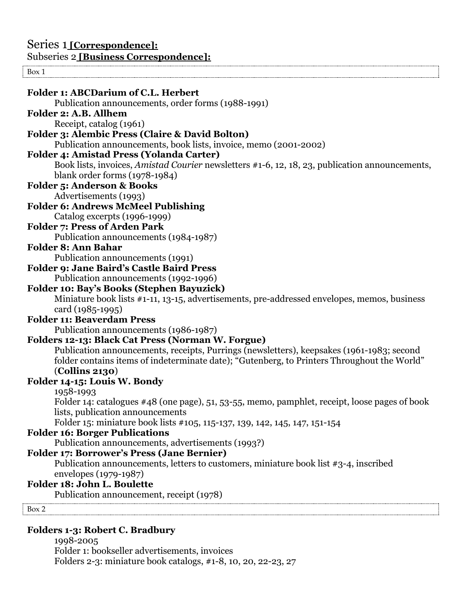#### $\frac{1}{\text{Box } 1}$

| <b>Folder 1: ABCDarium of C.L. Herbert</b>                                                                                     |
|--------------------------------------------------------------------------------------------------------------------------------|
| Publication announcements, order forms (1988-1991)<br>Folder 2: A.B. Allhem                                                    |
|                                                                                                                                |
| Receipt, catalog (1961)                                                                                                        |
| <b>Folder 3: Alembic Press (Claire &amp; David Bolton)</b><br>Publication announcements, book lists, invoice, memo (2001-2002) |
| <b>Folder 4: Amistad Press (Yolanda Carter)</b>                                                                                |
| Book lists, invoices, <i>Amistad Courier</i> newsletters #1-6, 12, 18, 23, publication announcements,                          |
| blank order forms (1978-1984)                                                                                                  |
| <b>Folder 5: Anderson &amp; Books</b>                                                                                          |
| Advertisements (1993)                                                                                                          |
| <b>Folder 6: Andrews McMeel Publishing</b>                                                                                     |
| Catalog excerpts (1996-1999)                                                                                                   |
| <b>Folder 7: Press of Arden Park</b>                                                                                           |
| Publication announcements (1984-1987)                                                                                          |
| <b>Folder 8: Ann Bahar</b>                                                                                                     |
| Publication announcements (1991)                                                                                               |
| <b>Folder 9: Jane Baird's Castle Baird Press</b>                                                                               |
| Publication announcements (1992-1996)                                                                                          |
| <b>Folder 10: Bay's Books (Stephen Bayuzick)</b>                                                                               |
| Miniature book lists #1-11, 13-15, advertisements, pre-addressed envelopes, memos, business                                    |
| card (1985-1995)                                                                                                               |
| <b>Folder 11: Beaverdam Press</b>                                                                                              |
| Publication announcements (1986-1987)                                                                                          |
| Folders 12-13: Black Cat Press (Norman W. Forgue)                                                                              |
| Publication announcements, receipts, Purrings (newsletters), keepsakes (1961-1983; second                                      |
| folder contains items of indeterminate date); "Gutenberg, to Printers Throughout the World"                                    |
| $\left($ Collins 2130 $\right)$                                                                                                |
| Folder 14-15: Louis W. Bondy                                                                                                   |
| 1958-1993                                                                                                                      |
| Folder 14: catalogues #48 (one page), 51, 53-55, memo, pamphlet, receipt, loose pages of book                                  |
| lists, publication announcements                                                                                               |
| Folder 15: miniature book lists #105, 115-137, 139, 142, 145, 147, 151-154                                                     |
| <b>Folder 16: Borger Publications</b>                                                                                          |
| Publication announcements, advertisements (1993?)                                                                              |
| <b>Folder 17: Borrower's Press (Jane Bernier)</b>                                                                              |
| Publication announcements, letters to customers, miniature book list $#3-4$ , inscribed                                        |
| envelopes (1979-1987)                                                                                                          |
| Folder 18: John L. Boulette                                                                                                    |
| Publication announcement, receipt (1978)                                                                                       |
| Box 2                                                                                                                          |
|                                                                                                                                |
| <b>Folders 1-3: Robert C. Bradbury</b>                                                                                         |

1998-2005 Folder 1: bookseller advertisements, invoices Folders 2-3: miniature book catalogs, #1-8, 10, 20, 22-23, 27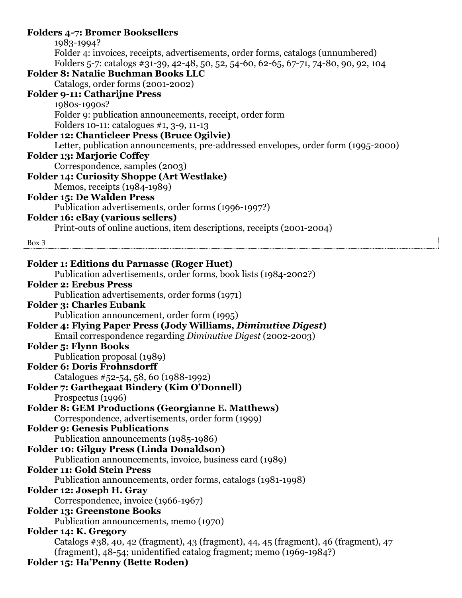#### **Folders 4-7: Bromer Booksellers** 1983-1994? Folder 4: invoices, receipts, advertisements, order forms, catalogs (unnumbered) Folders 5-7: catalogs #31-39, 42-48, 50, 52, 54-60, 62-65, 67-71, 74-80, 90, 92, 104 **Folder 8: Natalie Buchman Books LLC** Catalogs, order forms (2001-2002) **Folder 9-11: Catharijne Press** 1980s-1990s? Folder 9: publication announcements, receipt, order form Folders 10-11: catalogues #1, 3-9, 11-13 **Folder 12: Chanticleer Press (Bruce Ogilvie)** Letter, publication announcements, pre-addressed envelopes, order form (1995-2000) **Folder 13: Marjorie Coffey** Correspondence, samples (2003) **Folder 14: Curiosity Shoppe (Art Westlake)** Memos, receipts (1984-1989) **Folder 15: De Walden Press** Publication advertisements, order forms (1996-1997?) **Folder 16: eBay (various sellers)** Print-outs of online auctions, item descriptions, receipts (2001-2004) Box 3 **Folder 1: Editions du Parnasse (Roger Huet)** Publication advertisements, order forms, book lists (1984-2002?) **Folder 2: Erebus Press** Publication advertisements, order forms (1971) **Folder 3: Charles Eubank** Publication announcement, order form (1995) **Folder 4: Flying Paper Press (Jody Williams,** *Diminutive Digest***)** Email correspondence regarding *Diminutive Digest* (2002-2003) **Folder 5: Flynn Books** Publication proposal (1989) **Folder 6: Doris Frohnsdorff** Catalogues #52-54, 58, 60 (1988-1992) **Folder 7: Garthegaat Bindery (Kim O'Donnell)** Prospectus (1996) **Folder 8: GEM Productions (Georgianne E. Matthews)** Correspondence, advertisements, order form (1999) **Folder 9: Genesis Publications** Publication announcements (1985-1986) **Folder 10: Gilguy Press (Linda Donaldson)** Publication announcements, invoice, business card (1989) **Folder 11: Gold Stein Press** Publication announcements, order forms, catalogs (1981-1998) **Folder 12: Joseph H. Gray** Correspondence, invoice (1966-1967) **Folder 13: Greenstone Books** Publication announcements, memo (1970) **Folder 14: K. Gregory** Catalogs #38, 40, 42 (fragment), 43 (fragment), 44, 45 (fragment), 46 (fragment), 47 (fragment), 48-54; unidentified catalog fragment; memo (1969-1984?) **Folder 15: Ha'Penny (Bette Roden)**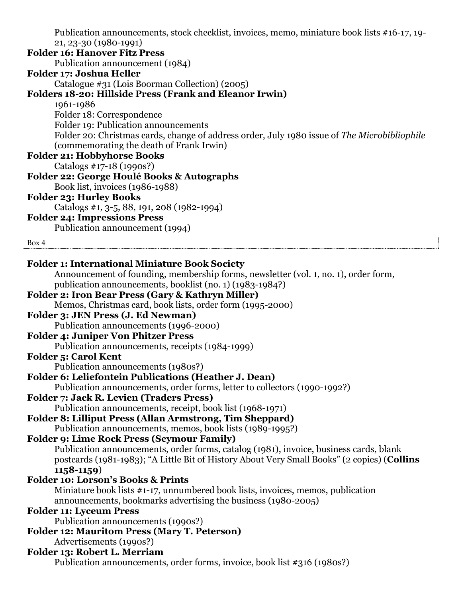Publication announcements, stock checklist, invoices, memo, miniature book lists #16-17, 19- 21, 23-30 (1980-1991) **Folder 16: Hanover Fitz Press** Publication announcement (1984) **Folder 17: Joshua Heller** Catalogue #31 (Lois Boorman Collection) (2005) **Folders 18-20: Hillside Press (Frank and Eleanor Irwin)** 1961-1986 Folder 18: Correspondence Folder 19: Publication announcements Folder 20: Christmas cards, change of address order, July 1980 issue of *The Microbibliophile* (commemorating the death of Frank Irwin) **Folder 21: Hobbyhorse Books** Catalogs #17-18 (1990s?) **Folder 22: George Houlé Books & Autographs** Book list, invoices (1986-1988) **Folder 23: Hurley Books** Catalogs #1, 3-5, 88, 191, 208 (1982-1994) **Folder 24: Impressions Press** Publication announcement (1994) Box 4 **Folder 1: International Miniature Book Society** Announcement of founding, membership forms, newsletter (vol. 1, no. 1), order form, publication announcements, booklist (no. 1) (1983-1984?) **Folder 2: Iron Bear Press (Gary & Kathryn Miller)** Memos, Christmas card, book lists, order form (1995-2000) **Folder 3: JEN Press (J. Ed Newman)** Publication announcements (1996-2000) **Folder 4: Juniper Von Phitzer Press** Publication announcements, receipts (1984-1999) **Folder 5: Carol Kent** Publication announcements (1980s?) **Folder 6: Leliefontein Publications (Heather J. Dean)** Publication announcements, order forms, letter to collectors (1990-1992?) **Folder 7: Jack R. Levien (Traders Press)** Publication announcements, receipt, book list (1968-1971) **Folder 8: Lilliput Press (Allan Armstrong, Tim Sheppard)** Publication announcements, memos, book lists (1989-1995?) **Folder 9: Lime Rock Press (Seymour Family)** Publication announcements, order forms, catalog (1981), invoice, business cards, blank postcards (1981-1983); "A Little Bit of History About Very Small Books" (2 copies) (**Collins 1158-1159**) **Folder 10: Lorson's Books & Prints** Miniature book lists #1-17, unnumbered book lists, invoices, memos, publication announcements, bookmarks advertising the business (1980-2005) **Folder 11: Lyceum Press** Publication announcements (1990s?) **Folder 12: Mauritom Press (Mary T. Peterson)** Advertisements (1990s?) **Folder 13: Robert L. Merriam** Publication announcements, order forms, invoice, book list #316 (1980s?)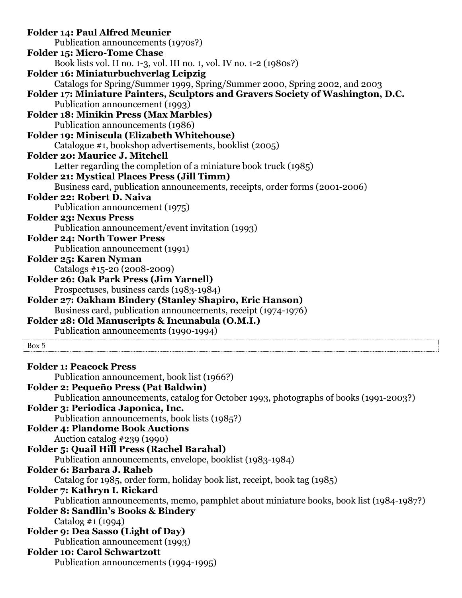| <b>Folder 14: Paul Alfred Meunier</b>                                                    |  |
|------------------------------------------------------------------------------------------|--|
| Publication announcements (1970s?)                                                       |  |
| <b>Folder 15: Micro-Tome Chase</b>                                                       |  |
| Book lists vol. II no. 1-3, vol. III no. 1, vol. IV no. 1-2 (1980s?)                     |  |
| <b>Folder 16: Miniaturbuchverlag Leipzig</b>                                             |  |
| Catalogs for Spring/Summer 1999, Spring/Summer 2000, Spring 2002, and 2003               |  |
| Folder 17: Miniature Painters, Sculptors and Gravers Society of Washington, D.C.         |  |
| Publication announcement (1993)                                                          |  |
| <b>Folder 18: Minikin Press (Max Marbles)</b>                                            |  |
| Publication announcements (1986)                                                         |  |
| Folder 19: Miniscula (Elizabeth Whitehouse)                                              |  |
| Catalogue #1, bookshop advertisements, booklist (2005)                                   |  |
| <b>Folder 20: Maurice J. Mitchell</b>                                                    |  |
| Letter regarding the completion of a miniature book truck (1985)                         |  |
| <b>Folder 21: Mystical Places Press (Jill Timm)</b>                                      |  |
| Business card, publication announcements, receipts, order forms (2001-2006)              |  |
| Folder 22: Robert D. Naiva                                                               |  |
| Publication announcement (1975)                                                          |  |
| <b>Folder 23: Nexus Press</b>                                                            |  |
| Publication announcement/event invitation (1993)                                         |  |
| <b>Folder 24: North Tower Press</b>                                                      |  |
| Publication announcement (1991)                                                          |  |
| Folder 25: Karen Nyman                                                                   |  |
| Catalogs #15-20 (2008-2009)                                                              |  |
| Folder 26: Oak Park Press (Jim Yarnell)                                                  |  |
| Prospectuses, business cards (1983-1984)                                                 |  |
| Folder 27: Oakham Bindery (Stanley Shapiro, Eric Hanson)                                 |  |
| Business card, publication announcements, receipt (1974-1976)                            |  |
| Folder 28: Old Manuscripts & Incunabula (O.M.I.)                                         |  |
| Publication announcements (1990-1994)                                                    |  |
| Box 5                                                                                    |  |
|                                                                                          |  |
| <b>Folder 1: Peacock Press</b>                                                           |  |
| Publication announcement, book list (1966?)                                              |  |
| <b>Folder 2: Pequeño Press (Pat Baldwin)</b>                                             |  |
| Publication announcements, catalog for October 1993, photographs of books (1991-2003?)   |  |
| Folder 3: Periodica Japonica, Inc.                                                       |  |
| Publication announcements, book lists (1985?)<br><b>Folder 4: Plandome Book Auctions</b> |  |
|                                                                                          |  |
| Auction catalog #239 (1990)                                                              |  |
| <b>Folder 5: Quail Hill Press (Rachel Barahal)</b>                                       |  |
| Publication announcements, envelope, booklist (1983-1984)<br>Folder 6: Barbara J. Raheb  |  |
|                                                                                          |  |
| Catalog for 1985, order form, holiday book list, receipt, book tag (1985)                |  |
| Folder 7: Kathryn I. Rickard                                                             |  |
| Publication announcements, memo, pamphlet about miniature books, book list (1984-1987?)  |  |
| <b>Folder 8: Sandlin's Books &amp; Bindery</b>                                           |  |
| Catalog #1 (1994)                                                                        |  |
| <b>Folder 9: Dea Sasso (Light of Day)</b>                                                |  |
| Publication announcement (1993)                                                          |  |

#### **Folder 10: Carol Schwartzott**

Publication announcements (1994-1995)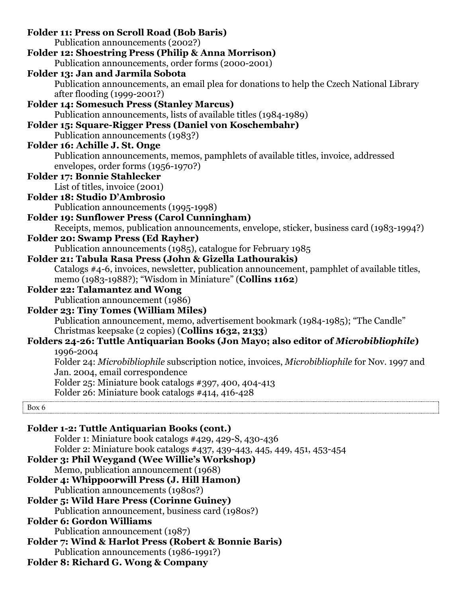Publication announcement, business card (1980s?)

**Folder 6: Gordon Williams**

Publication announcement (1987)

**Folder 7: Wind & Harlot Press (Robert & Bonnie Baris)**

Publication announcements (1986-1991?)

# **Folder 8: Richard G. Wong & Company**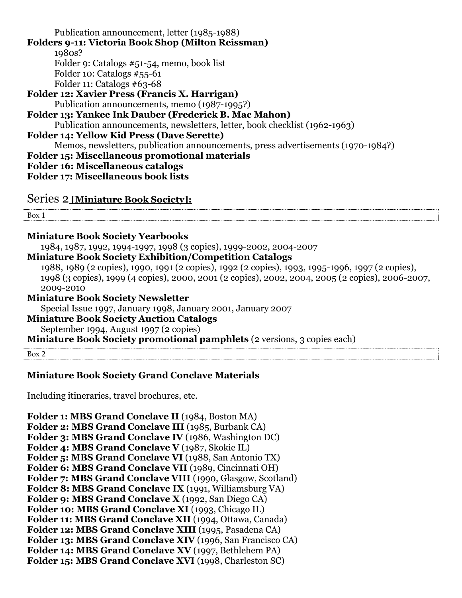Publication announcement, letter (1985-1988) **Folders 9-11: Victoria Book Shop (Milton Reissman)** 1980s? Folder 9: Catalogs #51-54, memo, book list Folder 10: Catalogs #55-61 Folder 11: Catalogs #63-68 **Folder 12: Xavier Press (Francis X. Harrigan)** Publication announcements, memo (1987-1995?) **Folder 13: Yankee Ink Dauber (Frederick B. Mac Mahon)** Publication announcements, newsletters, letter, book checklist (1962-1963) **Folder 14: Yellow Kid Press (Dave Serette)** Memos, newsletters, publication announcements, press advertisements (1970-1984?) **Folder 15: Miscellaneous promotional materials Folder 16: Miscellaneous catalogs Folder 17: Miscellaneous book lists**

Series 2 **[Miniature Book Society]:** 

Box 1

#### **Miniature Book Society Yearbooks**

1984, 1987, 1992, 1994-1997, 1998 (3 copies), 1999-2002, 2004-2007

#### **Miniature Book Society Exhibition/Competition Catalogs**

1988, 1989 (2 copies), 1990, 1991 (2 copies), 1992 (2 copies), 1993, 1995-1996, 1997 (2 copies), 1998 (3 copies), 1999 (4 copies), 2000, 2001 (2 copies), 2002, 2004, 2005 (2 copies), 2006-2007, 2009-2010

#### **Miniature Book Society Newsletter**

Special Issue 1997, January 1998, January 2001, January 2007

#### **Miniature Book Society Auction Catalogs**

September 1994, August 1997 (2 copies)

**Miniature Book Society promotional pamphlets** (2 versions, 3 copies each)

Box 2

#### **Miniature Book Society Grand Conclave Materials**

Including itineraries, travel brochures, etc.

**Folder 1: MBS Grand Conclave II** (1984, Boston MA) **Folder 2: MBS Grand Conclave III** (1985, Burbank CA) **Folder 3: MBS Grand Conclave IV** (1986, Washington DC) **Folder 4: MBS Grand Conclave V** (1987, Skokie IL) **Folder 5: MBS Grand Conclave VI** (1988, San Antonio TX) **Folder 6: MBS Grand Conclave VII** (1989, Cincinnati OH) **Folder 7: MBS Grand Conclave VIII** (1990, Glasgow, Scotland) **Folder 8: MBS Grand Conclave IX** (1991, Williamsburg VA) **Folder 9: MBS Grand Conclave X** (1992, San Diego CA) **Folder 10: MBS Grand Conclave XI** (1993, Chicago IL) **Folder 11: MBS Grand Conclave XII** (1994, Ottawa, Canada) **Folder 12: MBS Grand Conclave XIII** (1995, Pasadena CA) **Folder 13: MBS Grand Conclave XIV** (1996, San Francisco CA) **Folder 14: MBS Grand Conclave XV** (1997, Bethlehem PA) **Folder 15: MBS Grand Conclave XVI** (1998, Charleston SC)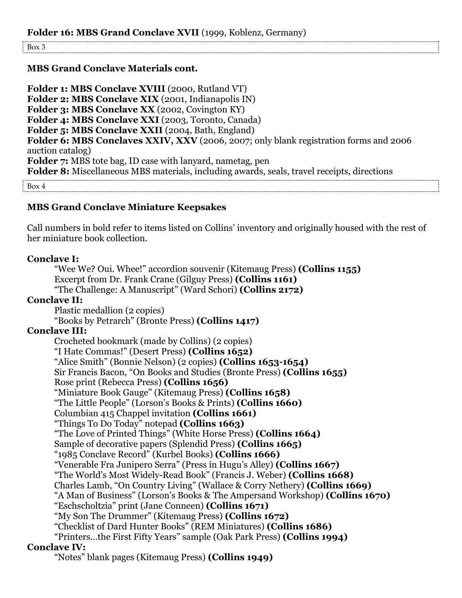Box 3

#### **MBS Grand Conclave Materials cont.**

Folder 1: MBS Conclave XVIII (2000, Rutland VT) **Folder 2: MBS Conclave XIX** (2001, Indianapolis IN) **Folder 3: MBS Conclave XX** (2002, Covington KY) **Folder 4: MBS Conclave XXI** (2003, Toronto, Canada) **Folder 5: MBS Conclave XXII** (2004, Bath, England) **Folder 6: MBS Conclaves XXIV, XXV** (2006, 2007; only blank registration forms and 2006 auction catalog) **Folder 7:** MBS tote bag, ID case with lanyard, nametag, pen **Folder 8:** Miscellaneous MBS materials, including awards, seals, travel receipts, directions

Box 4

#### **MBS Grand Conclave Miniature Keepsakes**

Call numbers in bold refer to items listed on Collins' inventory and originally housed with the rest of her miniature book collection.

#### **Conclave I:**

"Wee We? Oui. Whee!" accordion souvenir (Kitemaug Press) **(Collins 1155)** Excerpt from Dr. Frank Crane (Gilguy Press) **(Collins 1161)** "The Challenge: A Manuscript" (Ward Schori) **(Collins 2172)**

#### **Conclave II:**

Plastic medallion (2 copies) "Books by Petrarch" (Bronte Press) **(Collins 1417)**

#### **Conclave III:**

Crocheted bookmark (made by Collins) (2 copies) "I Hate Commas!" (Desert Press) **(Collins 1652)** "Alice Smith" (Bonnie Nelson) (2 copies) **(Collins 1653-1654)** Sir Francis Bacon, "On Books and Studies (Bronte Press) **(Collins 1655)** Rose print (Rebecca Press) **(Collins 1656)** "Miniature Book Gauge" (Kitemaug Press) **(Collins 1658)** "The Little People" (Lorson's Books & Prints) **(Collins 1660)** Columbian 415 Chappel invitation **(Collins 1661)** "Things To Do Today" notepad **(Collins 1663)** "The Love of Printed Things" (White Horse Press) **(Collins 1664)** Sample of decorative papers (Splendid Press) **(Collins 1665)** "1985 Conclave Record" (Kurbel Books) **(Collins 1666)** "Venerable Fra Junipero Serra" (Press in Hugu's Alley) **(Collins 1667)** "The World's Most Widely-Read Book" (Francis J. Weber) **(Collins 1668)** Charles Lamb, "On Country Living" (Wallace & Corry Nethery) **(Collins 1669)** "A Man of Business" (Lorson's Books & The Ampersand Workshop) **(Collins 1670)** "Eschscholtzia" print (Jane Conneen) **(Collins 1671)** "My Son The Drummer" (Kitemaug Press) **(Collins 1672)** "Checklist of Dard Hunter Books" (REM Miniatures) **(Collins 1686)** "Printers…the First Fifty Years" sample (Oak Park Press) **(Collins 1994)**

#### **Conclave IV:**

"Notes" blank pages (Kitemaug Press) **(Collins 1949)**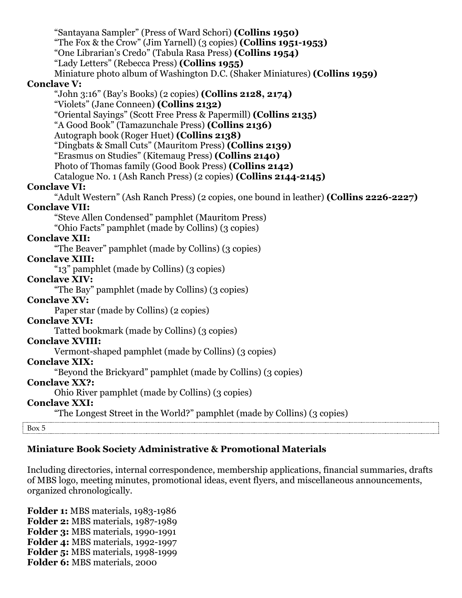| "Santayana Sampler" (Press of Ward Schori) (Collins 1950)<br>"The Fox & the Crow" (Jim Yarnell) (3 copies) (Collins 1951-1953) |
|--------------------------------------------------------------------------------------------------------------------------------|
| "One Librarian's Credo" (Tabula Rasa Press) (Collins 1954)                                                                     |
| "Lady Letters" (Rebecca Press) (Collins 1955)                                                                                  |
| Miniature photo album of Washington D.C. (Shaker Miniatures) (Collins 1959)                                                    |
| <b>Conclave V:</b>                                                                                                             |
| "John 3:16" (Bay's Books) (2 copies) <b>(Collins 2128, 2174)</b>                                                               |
| "Violets" (Jane Conneen) (Collins 2132)                                                                                        |
| "Oriental Sayings" (Scott Free Press & Papermill) (Collins 2135)                                                               |
| "A Good Book" (Tamazunchale Press) (Collins 2136)                                                                              |
| Autograph book (Roger Huet) (Collins 2138)                                                                                     |
| "Dingbats & Small Cuts" (Mauritom Press) (Collins 2139)                                                                        |
| "Erasmus on Studies" (Kitemaug Press) (Collins 2140)                                                                           |
| Photo of Thomas family (Good Book Press) (Collins 2142)                                                                        |
| Catalogue No. 1 (Ash Ranch Press) (2 copies) (Collins 2144-2145)                                                               |
| <b>Conclave VI:</b>                                                                                                            |
| "Adult Western" (Ash Ranch Press) (2 copies, one bound in leather) (Collins 2226-2227)                                         |
| <b>Conclave VII:</b>                                                                                                           |
| "Steve Allen Condensed" pamphlet (Mauritom Press)                                                                              |
| "Ohio Facts" pamphlet (made by Collins) (3 copies)                                                                             |
| <b>Conclave XII:</b>                                                                                                           |
| "The Beaver" pamphlet (made by Collins) (3 copies)                                                                             |
| <b>Conclave XIII:</b>                                                                                                          |
| "13" pamphlet (made by Collins) (3 copies)                                                                                     |
| <b>Conclave XIV:</b>                                                                                                           |
| "The Bay" pamphlet (made by Collins) (3 copies)                                                                                |
| <b>Conclave XV:</b>                                                                                                            |
| Paper star (made by Collins) (2 copies)                                                                                        |
| <b>Conclave XVI:</b>                                                                                                           |
| Tatted bookmark (made by Collins) (3 copies)                                                                                   |
| <b>Conclave XVIII:</b>                                                                                                         |
| Vermont-shaped pamphlet (made by Collins) (3 copies)                                                                           |
| <b>Conclave XIX:</b>                                                                                                           |
| "Beyond the Brickyard" pamphlet (made by Collins) (3 copies)                                                                   |
| <b>Conclave XX?:</b>                                                                                                           |
| Ohio River pamphlet (made by Collins) (3 copies)                                                                               |
| <b>Conclave XXI:</b>                                                                                                           |
| "The Longest Street in the World?" pamphlet (made by Collins) (3 copies)                                                       |
| Box 5                                                                                                                          |

# **Miniature Book Society Administrative & Promotional Materials**

Including directories, internal correspondence, membership applications, financial summaries, drafts of MBS logo, meeting minutes, promotional ideas, event flyers, and miscellaneous announcements, organized chronologically.

**Folder 1:** MBS materials, 1983-1986 **Folder 2:** MBS materials, 1987-1989 **Folder 3:** MBS materials, 1990-1991 **Folder 4:** MBS materials, 1992-1997 **Folder 5:** MBS materials, 1998-1999 **Folder 6:** MBS materials, 2000